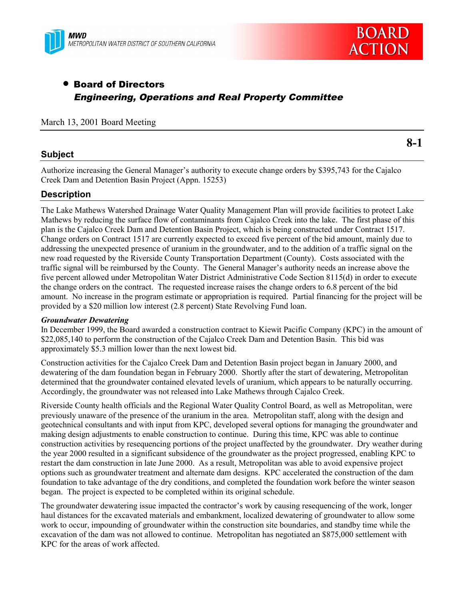



**8-1**

# • Board of Directors Engineering, Operations and Real Property Committee

## March 13, 2001 Board Meeting

## **Subject**

Authorize increasing the General Manager's authority to execute change orders by \$395,743 for the Cajalco Creek Dam and Detention Basin Project (Appn. 15253)

## **Description**

The Lake Mathews Watershed Drainage Water Quality Management Plan will provide facilities to protect Lake Mathews by reducing the surface flow of contaminants from Cajalco Creek into the lake. The first phase of this plan is the Cajalco Creek Dam and Detention Basin Project, which is being constructed under Contract 1517. Change orders on Contract 1517 are currently expected to exceed five percent of the bid amount, mainly due to addressing the unexpected presence of uranium in the groundwater, and to the addition of a traffic signal on the new road requested by the Riverside County Transportation Department (County). Costs associated with the traffic signal will be reimbursed by the County. The General Manager's authority needs an increase above the five percent allowed under Metropolitan Water District Administrative Code Section 8115(d) in order to execute the change orders on the contract. The requested increase raises the change orders to 6.8 percent of the bid amount. No increase in the program estimate or appropriation is required. Partial financing for the project will be provided by a \$20 million low interest (2.8 percent) State Revolving Fund loan.

#### *Groundwater Dewatering*

In December 1999, the Board awarded a construction contract to Kiewit Pacific Company (KPC) in the amount of \$22,085,140 to perform the construction of the Cajalco Creek Dam and Detention Basin. This bid was approximately \$5.3 million lower than the next lowest bid.

Construction activities for the Cajalco Creek Dam and Detention Basin project began in January 2000, and dewatering of the dam foundation began in February 2000. Shortly after the start of dewatering, Metropolitan determined that the groundwater contained elevated levels of uranium, which appears to be naturally occurring. Accordingly, the groundwater was not released into Lake Mathews through Cajalco Creek.

Riverside County health officials and the Regional Water Quality Control Board, as well as Metropolitan, were previously unaware of the presence of the uranium in the area. Metropolitan staff, along with the design and geotechnical consultants and with input from KPC, developed several options for managing the groundwater and making design adjustments to enable construction to continue. During this time, KPC was able to continue construction activities by resequencing portions of the project unaffected by the groundwater. Dry weather during the year 2000 resulted in a significant subsidence of the groundwater as the project progressed, enabling KPC to restart the dam construction in late June 2000. As a result, Metropolitan was able to avoid expensive project options such as groundwater treatment and alternate dam designs. KPC accelerated the construction of the dam foundation to take advantage of the dry conditions, and completed the foundation work before the winter season began. The project is expected to be completed within its original schedule.

The groundwater dewatering issue impacted the contractor's work by causing resequencing of the work, longer haul distances for the excavated materials and embankment, localized dewatering of groundwater to allow some work to occur, impounding of groundwater within the construction site boundaries, and standby time while the excavation of the dam was not allowed to continue. Metropolitan has negotiated an \$875,000 settlement with KPC for the areas of work affected.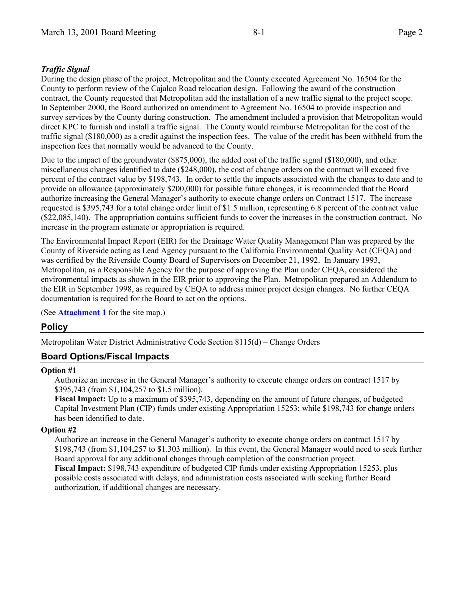## *Traffic Signal*

During the design phase of the project, Metropolitan and the County executed Agreement No. 16504 for the County to perform review of the Cajalco Road relocation design. Following the award of the construction contract, the County requested that Metropolitan add the installation of a new traffic signal to the project scope. In September 2000, the Board authorized an amendment to Agreement No. 16504 to provide inspection and survey services by the County during construction. The amendment included a provision that Metropolitan would direct KPC to furnish and install a traffic signal. The County would reimburse Metropolitan for the cost of the traffic signal (\$180,000) as a credit against the inspection fees. The value of the credit has been withheld from the inspection fees that normally would be advanced to the County.

Due to the impact of the groundwater (\$875,000), the added cost of the traffic signal (\$180,000), and other miscellaneous changes identified to date (\$248,000), the cost of change orders on the contract will exceed five percent of the contract value by \$198,743. In order to settle the impacts associated with the changes to date and to provide an allowance (approximately \$200,000) for possible future changes, it is recommended that the Board authorize increasing the General Manager's authority to execute change orders on Contract 1517. The increase requested is \$395,743 for a total change order limit of \$1.5 million, representing 6.8 percent of the contract value (\$22,085,140). The appropriation contains sufficient funds to cover the increases in the construction contract. No increase in the program estimate or appropriation is required.

The Environmental Impact Report (EIR) for the Drainage Water Quality Management Plan was prepared by the County of Riverside acting as Lead Agency pursuant to the California Environmental Quality Act (CEQA) and was certified by the Riverside County Board of Supervisors on December 21, 1992. In January 1993, Metropolitan, as a Responsible Agency for the purpose of approving the Plan under CEQA, considered the environmental impacts as shown in the EIR prior to approving the Plan. Metropolitan prepared an Addendum to the EIR in September 1998, as required by CEQA to address minor project design changes. No further CEQA documentation is required for the Board to act on the options.

(See **Attachment 1** for the site map.)

## **Policy**

Metropolitan Water District Administrative Code Section 8115(d) – Change Orders

## **Board Options/Fiscal Impacts**

## **Option #1**

Authorize an increase in the General Manager's authority to execute change orders on contract 1517 by \$395,743 (from \$1,104,257 to \$1.5 million).

**Fiscal Impact:** Up to a maximum of \$395,743, depending on the amount of future changes, of budgeted Capital Investment Plan (CIP) funds under existing Appropriation 15253; while \$198,743 for change orders has been identified to date.

## **Option #2**

Authorize an increase in the General Manager's authority to execute change orders on contract 1517 by \$198,743 (from \$1,104,257 to \$1.303 million). In this event, the General Manager would need to seek further Board approval for any additional changes through completion of the construction project. **Fiscal Impact:** \$198,743 expenditure of budgeted CIP funds under existing Appropriation 15253, plus possible costs associated with delays, and administration costs associated with seeking further Board authorization, if additional changes are necessary.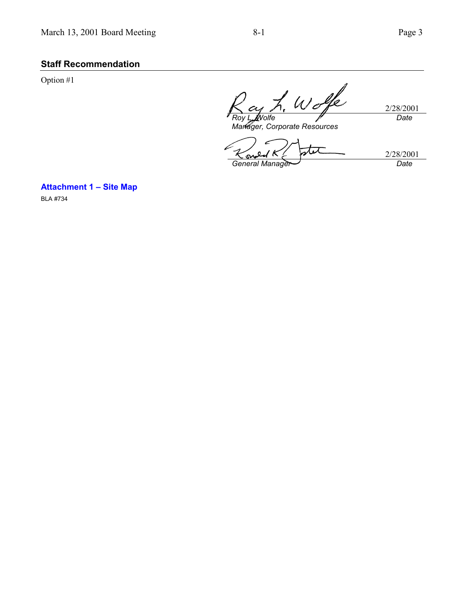# **Staff Recommendation**

Option #1

h. Wolfe 2/28/2001 *Roy L. Wolfe Date*

*Manager, Corporate Resources*

معه *<u>K</u> <i>Gugled* K  $\leftarrow$  General Manager

2/28/2001<br>Date

**Attachment 1 – Site Map**

BLA #734